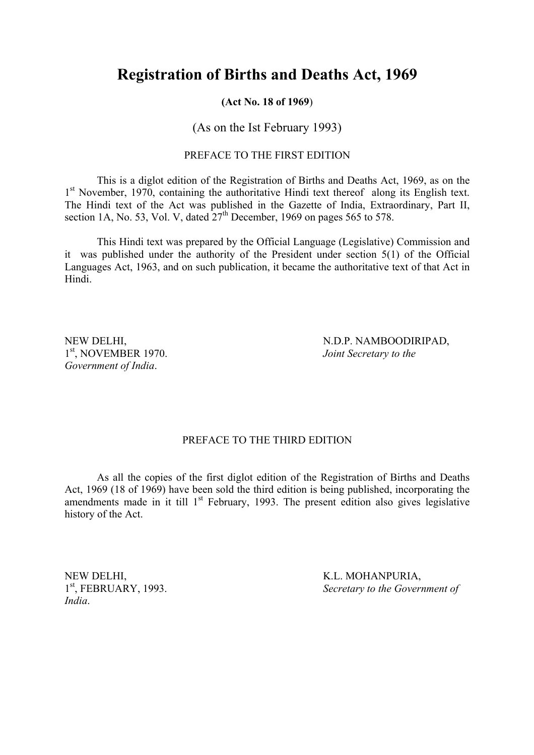## **Registration of Births and Deaths Act, 1969**

#### **(Act No. 18 of 1969**)

## (As on the Ist February 1993)

### PREFACE TO THE FIRST EDITION

This is a diglot edition of the Registration of Births and Deaths Act, 1969, as on the 1<sup>st</sup> November, 1970, containing the authoritative Hindi text thereof along its English text. The Hindi text of the Act was published in the Gazette of India, Extraordinary, Part II, section 1A, No. 53, Vol. V, dated  $27<sup>th</sup>$  December, 1969 on pages 565 to 578.

This Hindi text was prepared by the Official Language (Legislative) Commission and it was published under the authority of the President under section 5(1) of the Official Languages Act, 1963, and on such publication, it became the authoritative text of that Act in Hindi.

1st, NOVEMBER 1970. *Joint Secretary to the Government of India*.

NEW DELHI, N.D.P. NAMBOODIRIPAD,

#### PREFACE TO THE THIRD EDITION

As all the copies of the first diglot edition of the Registration of Births and Deaths Act, 1969 (18 of 1969) have been sold the third edition is being published, incorporating the amendments made in it till  $1<sup>st</sup>$  February, 1993. The present edition also gives legislative history of the Act.

NEW DELHI,<br>
1<sup>st</sup>, FEBRUARY, 1993. Secretary to the Govern *India*.

Secretary to the Government of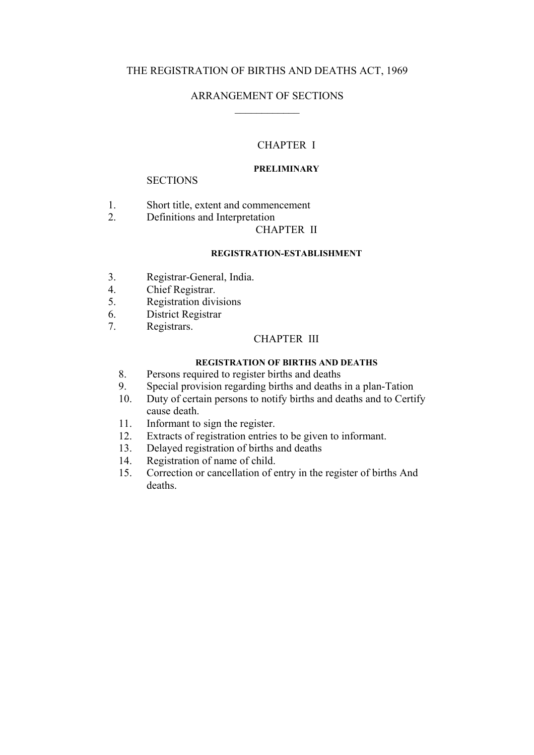## THE REGISTRATION OF BIRTHS AND DEATHS ACT, 1969

## ARRANGEMENT OF SECTIONS  $\mathcal{L}_\text{max}$

## CHAPTER I

#### **PRELIMINARY**

#### **SECTIONS**

- 1. Short title, extent and commencement
- 2. Definitions and Interpretation

#### CHAPTER II

#### **REGISTRATION-ESTABLISHMENT**

- 3. Registrar-General, India.
- 4. Chief Registrar.<br>5 Registration divi
- Registration divisions
- 6. District Registrar
- 7. Registrars.

## CHAPTER III

#### **REGISTRATION OF BIRTHS AND DEATHS**

- 8. Persons required to register births and deaths
- 9. Special provision regarding births and deaths in a plan-Tation
- 10. Duty of certain persons to notify births and deaths and to Certify cause death.
- 11. Informant to sign the register.
- 12. Extracts of registration entries to be given to informant.
- 13. Delayed registration of births and deaths
- 14. Registration of name of child.
- 15. Correction or cancellation of entry in the register of births And deaths.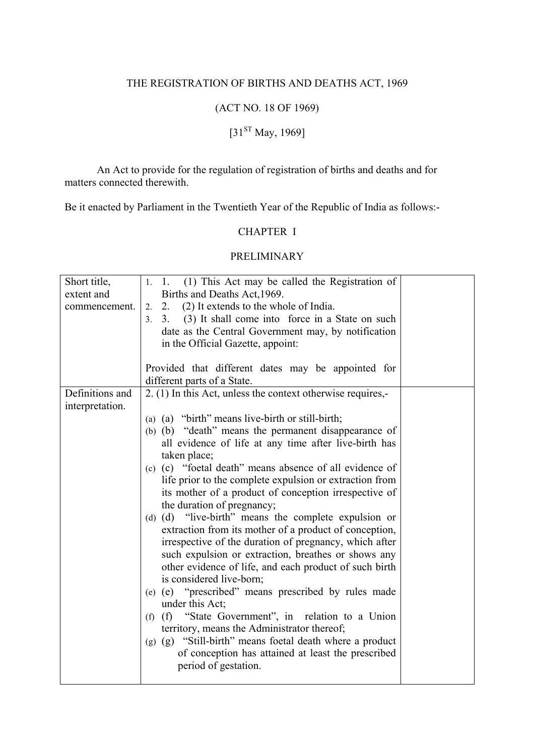## THE REGISTRATION OF BIRTHS AND DEATHS ACT, 1969

## (ACT NO. 18 OF 1969)

# $[31<sup>ST</sup> May, 1969]$

 An Act to provide for the regulation of registration of births and deaths and for matters connected therewith.

Be it enacted by Parliament in the Twentieth Year of the Republic of India as follows:-

## CHAPTER I

## PRELIMINARY

| Short title,<br>extent and<br>commencement. | 1. 1. (1) This Act may be called the Registration of<br>Births and Deaths Act, 1969.<br>2. (2) It extends to the whole of India.<br>2.<br>(3) It shall come into force in a State on such<br>3.<br>3 <sub>1</sub><br>date as the Central Government may, by notification<br>in the Official Gazette, appoint:<br>Provided that different dates may be appointed for<br>different parts of a State.                                                                                                                                                                                                                                                                                                                                                                                                                                                                                                                                                                                                                                               |  |
|---------------------------------------------|--------------------------------------------------------------------------------------------------------------------------------------------------------------------------------------------------------------------------------------------------------------------------------------------------------------------------------------------------------------------------------------------------------------------------------------------------------------------------------------------------------------------------------------------------------------------------------------------------------------------------------------------------------------------------------------------------------------------------------------------------------------------------------------------------------------------------------------------------------------------------------------------------------------------------------------------------------------------------------------------------------------------------------------------------|--|
| Definitions and                             |                                                                                                                                                                                                                                                                                                                                                                                                                                                                                                                                                                                                                                                                                                                                                                                                                                                                                                                                                                                                                                                  |  |
|                                             | 2. (1) In this Act, unless the context otherwise requires,-                                                                                                                                                                                                                                                                                                                                                                                                                                                                                                                                                                                                                                                                                                                                                                                                                                                                                                                                                                                      |  |
| interpretation.                             | (a) (a) "birth" means live-birth or still-birth;<br>(b) (b) "death" means the permanent disappearance of<br>all evidence of life at any time after live-birth has<br>taken place;<br>(c) (c) "foetal death" means absence of all evidence of<br>life prior to the complete expulsion or extraction from<br>its mother of a product of conception irrespective of<br>the duration of pregnancy;<br>(d) (d) "live-birth" means the complete expulsion or<br>extraction from its mother of a product of conception,<br>irrespective of the duration of pregnancy, which after<br>such expulsion or extraction, breathes or shows any<br>other evidence of life, and each product of such birth<br>is considered live-born;<br>(e) (e) "prescribed" means prescribed by rules made<br>under this Act;<br>(f) (f) "State Government", in relation to a Union<br>territory, means the Administrator thereof;<br>(g) (g) "Still-birth" means foetal death where a product<br>of conception has attained at least the prescribed<br>period of gestation. |  |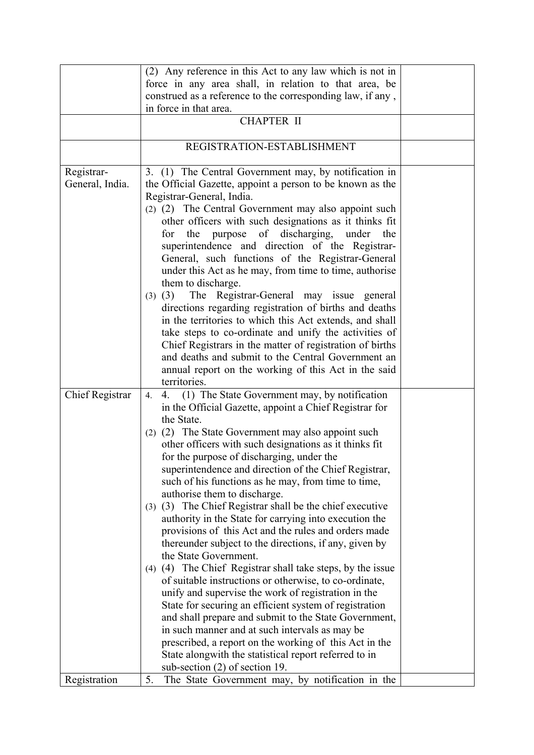|                               | (2) Any reference in this Act to any law which is not in<br>force in any area shall, in relation to that area, be                                                                                                                                                                                                                                                                                                                                                                                                                                                                                                                                                                                                                                                                                                                                                                                                                                                                                                                                                                                                                                                                                                        |  |
|-------------------------------|--------------------------------------------------------------------------------------------------------------------------------------------------------------------------------------------------------------------------------------------------------------------------------------------------------------------------------------------------------------------------------------------------------------------------------------------------------------------------------------------------------------------------------------------------------------------------------------------------------------------------------------------------------------------------------------------------------------------------------------------------------------------------------------------------------------------------------------------------------------------------------------------------------------------------------------------------------------------------------------------------------------------------------------------------------------------------------------------------------------------------------------------------------------------------------------------------------------------------|--|
|                               | construed as a reference to the corresponding law, if any,<br>in force in that area.                                                                                                                                                                                                                                                                                                                                                                                                                                                                                                                                                                                                                                                                                                                                                                                                                                                                                                                                                                                                                                                                                                                                     |  |
|                               | <b>CHAPTER II</b>                                                                                                                                                                                                                                                                                                                                                                                                                                                                                                                                                                                                                                                                                                                                                                                                                                                                                                                                                                                                                                                                                                                                                                                                        |  |
|                               |                                                                                                                                                                                                                                                                                                                                                                                                                                                                                                                                                                                                                                                                                                                                                                                                                                                                                                                                                                                                                                                                                                                                                                                                                          |  |
|                               | REGISTRATION-ESTABLISHMENT                                                                                                                                                                                                                                                                                                                                                                                                                                                                                                                                                                                                                                                                                                                                                                                                                                                                                                                                                                                                                                                                                                                                                                                               |  |
| Registrar-<br>General, India. | 3. (1) The Central Government may, by notification in<br>the Official Gazette, appoint a person to be known as the<br>Registrar-General, India.<br>(2) (2) The Central Government may also appoint such<br>other officers with such designations as it thinks fit<br>the purpose of discharging, under<br>for<br>the<br>superintendence and direction of the Registrar-<br>General, such functions of the Registrar-General<br>under this Act as he may, from time to time, authorise<br>them to discharge.<br>The Registrar-General may issue general<br>$(3)$ $(3)$<br>directions regarding registration of births and deaths<br>in the territories to which this Act extends, and shall<br>take steps to co-ordinate and unify the activities of<br>Chief Registrars in the matter of registration of births<br>and deaths and submit to the Central Government an                                                                                                                                                                                                                                                                                                                                                    |  |
|                               | annual report on the working of this Act in the said<br>territories.                                                                                                                                                                                                                                                                                                                                                                                                                                                                                                                                                                                                                                                                                                                                                                                                                                                                                                                                                                                                                                                                                                                                                     |  |
| <b>Chief Registrar</b>        | 4. (1) The State Government may, by notification<br>4.<br>in the Official Gazette, appoint a Chief Registrar for<br>the State.<br>(2) (2) The State Government may also appoint such<br>other officers with such designations as it thinks fit<br>for the purpose of discharging, under the<br>superintendence and direction of the Chief Registrar,<br>such of his functions as he may, from time to time,<br>authorise them to discharge.<br>(3) (3) The Chief Registrar shall be the chief executive<br>authority in the State for carrying into execution the<br>provisions of this Act and the rules and orders made<br>thereunder subject to the directions, if any, given by<br>the State Government.<br>(4) (4) The Chief Registrar shall take steps, by the issue<br>of suitable instructions or otherwise, to co-ordinate,<br>unify and supervise the work of registration in the<br>State for securing an efficient system of registration<br>and shall prepare and submit to the State Government,<br>in such manner and at such intervals as may be<br>prescribed, a report on the working of this Act in the<br>State along with the statistical report referred to in<br>sub-section $(2)$ of section 19. |  |
| Registration                  | 5.<br>The State Government may, by notification in the                                                                                                                                                                                                                                                                                                                                                                                                                                                                                                                                                                                                                                                                                                                                                                                                                                                                                                                                                                                                                                                                                                                                                                   |  |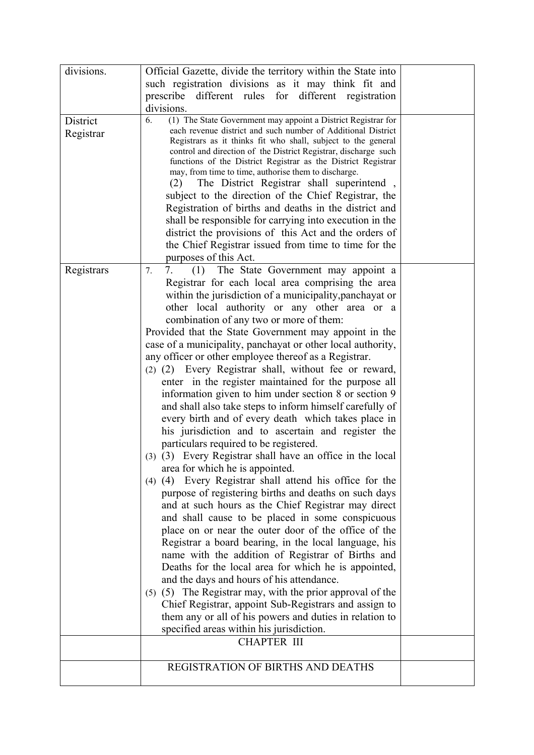| divisions. | Official Gazette, divide the territory within the State into                                                                     |  |
|------------|----------------------------------------------------------------------------------------------------------------------------------|--|
|            | such registration divisions as it may think fit and                                                                              |  |
|            | prescribe<br>different rules for different registration                                                                          |  |
|            | divisions.                                                                                                                       |  |
| District   | (1) The State Government may appoint a District Registrar for<br>6.                                                              |  |
| Registrar  | each revenue district and such number of Additional District                                                                     |  |
|            | Registrars as it thinks fit who shall, subject to the general                                                                    |  |
|            | control and direction of the District Registrar, discharge such<br>functions of the District Registrar as the District Registrar |  |
|            | may, from time to time, authorise them to discharge.                                                                             |  |
|            | The District Registrar shall superintend,<br>(2)                                                                                 |  |
|            | subject to the direction of the Chief Registrar, the                                                                             |  |
|            | Registration of births and deaths in the district and                                                                            |  |
|            | shall be responsible for carrying into execution in the                                                                          |  |
|            | district the provisions of this Act and the orders of                                                                            |  |
|            | the Chief Registrar issued from time to time for the                                                                             |  |
|            | purposes of this Act.                                                                                                            |  |
| Registrars | 7.<br>(1)<br>The State Government may appoint a<br>7.                                                                            |  |
|            | Registrar for each local area comprising the area                                                                                |  |
|            | within the jurisdiction of a municipality, panchayat or                                                                          |  |
|            | other local authority or any other area or a                                                                                     |  |
|            | combination of any two or more of them:                                                                                          |  |
|            | Provided that the State Government may appoint in the                                                                            |  |
|            | case of a municipality, panchayat or other local authority,                                                                      |  |
|            | any officer or other employee thereof as a Registrar.                                                                            |  |
|            | (2) (2) Every Registrar shall, without fee or reward,                                                                            |  |
|            | enter in the register maintained for the purpose all                                                                             |  |
|            | information given to him under section 8 or section 9                                                                            |  |
|            | and shall also take steps to inform himself carefully of                                                                         |  |
|            | every birth and of every death which takes place in                                                                              |  |
|            | his jurisdiction and to ascertain and register the                                                                               |  |
|            | particulars required to be registered.                                                                                           |  |
|            | (3) (3) Every Registrar shall have an office in the local                                                                        |  |
|            | area for which he is appointed.                                                                                                  |  |
|            | (4) (4) Every Registrar shall attend his office for the                                                                          |  |
|            | purpose of registering births and deaths on such days                                                                            |  |
|            | and at such hours as the Chief Registrar may direct                                                                              |  |
|            | and shall cause to be placed in some conspicuous                                                                                 |  |
|            | place on or near the outer door of the office of the                                                                             |  |
|            | Registrar a board bearing, in the local language, his                                                                            |  |
|            | name with the addition of Registrar of Births and                                                                                |  |
|            | Deaths for the local area for which he is appointed,                                                                             |  |
|            | and the days and hours of his attendance.                                                                                        |  |
|            | (5) (5) The Registrar may, with the prior approval of the                                                                        |  |
|            | Chief Registrar, appoint Sub-Registrars and assign to                                                                            |  |
|            | them any or all of his powers and duties in relation to                                                                          |  |
|            | specified areas within his jurisdiction.                                                                                         |  |
|            | <b>CHAPTER III</b>                                                                                                               |  |
|            | <b>REGISTRATION OF BIRTHS AND DEATHS</b>                                                                                         |  |
|            |                                                                                                                                  |  |
|            |                                                                                                                                  |  |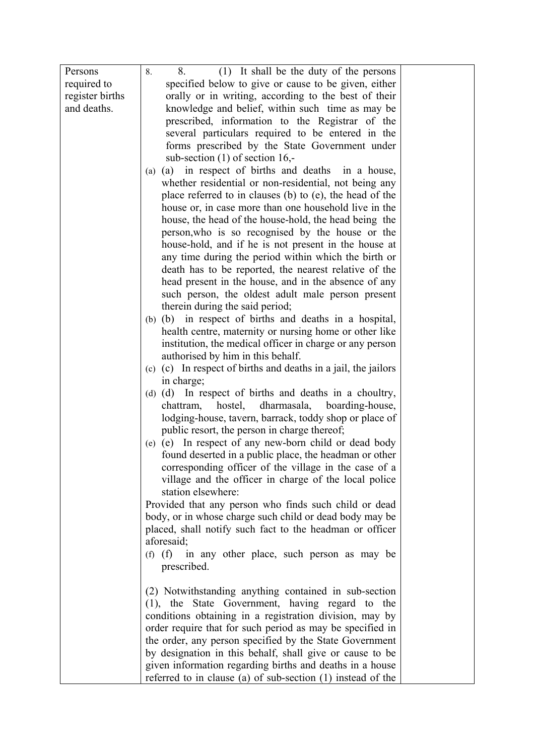| Persons         | (1) It shall be the duty of the persons<br>8.<br>8.                                                           |  |  |  |
|-----------------|---------------------------------------------------------------------------------------------------------------|--|--|--|
| required to     | specified below to give or cause to be given, either                                                          |  |  |  |
| register births | orally or in writing, according to the best of their                                                          |  |  |  |
| and deaths.     | knowledge and belief, within such time as may be                                                              |  |  |  |
|                 | prescribed, information to the Registrar of the                                                               |  |  |  |
|                 | several particulars required to be entered in the                                                             |  |  |  |
|                 | forms prescribed by the State Government under                                                                |  |  |  |
|                 | sub-section $(1)$ of section 16,-                                                                             |  |  |  |
|                 | (a) in respect of births and deaths in a house,<br>(a)                                                        |  |  |  |
|                 | whether residential or non-residential, not being any                                                         |  |  |  |
|                 | place referred to in clauses (b) to (e), the head of the                                                      |  |  |  |
|                 | house or, in case more than one household live in the                                                         |  |  |  |
|                 | house, the head of the house-hold, the head being the                                                         |  |  |  |
|                 | person, who is so recognised by the house or the                                                              |  |  |  |
|                 | house-hold, and if he is not present in the house at                                                          |  |  |  |
|                 | any time during the period within which the birth or                                                          |  |  |  |
|                 | death has to be reported, the nearest relative of the<br>head present in the house, and in the absence of any |  |  |  |
|                 | such person, the oldest adult male person present                                                             |  |  |  |
|                 | therein during the said period;                                                                               |  |  |  |
|                 | (b) (b) in respect of births and deaths in a hospital,                                                        |  |  |  |
|                 | health centre, maternity or nursing home or other like                                                        |  |  |  |
|                 | institution, the medical officer in charge or any person                                                      |  |  |  |
|                 | authorised by him in this behalf.                                                                             |  |  |  |
|                 | (c) (c) In respect of births and deaths in a jail, the jailors                                                |  |  |  |
|                 | in charge;                                                                                                    |  |  |  |
|                 | (d) (d) In respect of births and deaths in a choultry,                                                        |  |  |  |
|                 | hostel,<br>dharmasala, boarding-house,<br>chattram,                                                           |  |  |  |
|                 | lodging-house, tavern, barrack, toddy shop or place of                                                        |  |  |  |
|                 | public resort, the person in charge thereof;                                                                  |  |  |  |
|                 | (e) (e) In respect of any new-born child or dead body                                                         |  |  |  |
|                 | found deserted in a public place, the headman or other                                                        |  |  |  |
|                 | corresponding officer of the village in the case of a                                                         |  |  |  |
|                 | village and the officer in charge of the local police                                                         |  |  |  |
|                 | station elsewhere:                                                                                            |  |  |  |
|                 | Provided that any person who finds such child or dead                                                         |  |  |  |
|                 | body, or in whose charge such child or dead body may be                                                       |  |  |  |
|                 | placed, shall notify such fact to the headman or officer<br>aforesaid;                                        |  |  |  |
|                 | $(f)$ $(f)$<br>in any other place, such person as may be                                                      |  |  |  |
|                 | prescribed.                                                                                                   |  |  |  |
|                 |                                                                                                               |  |  |  |
|                 | (2) Notwithstanding anything contained in sub-section                                                         |  |  |  |
|                 | (1), the State Government, having regard to the                                                               |  |  |  |
|                 | conditions obtaining in a registration division, may by                                                       |  |  |  |
|                 | order require that for such period as may be specified in                                                     |  |  |  |
|                 | the order, any person specified by the State Government                                                       |  |  |  |
|                 | by designation in this behalf, shall give or cause to be                                                      |  |  |  |
|                 | given information regarding births and deaths in a house                                                      |  |  |  |
|                 | referred to in clause (a) of sub-section $(1)$ instead of the                                                 |  |  |  |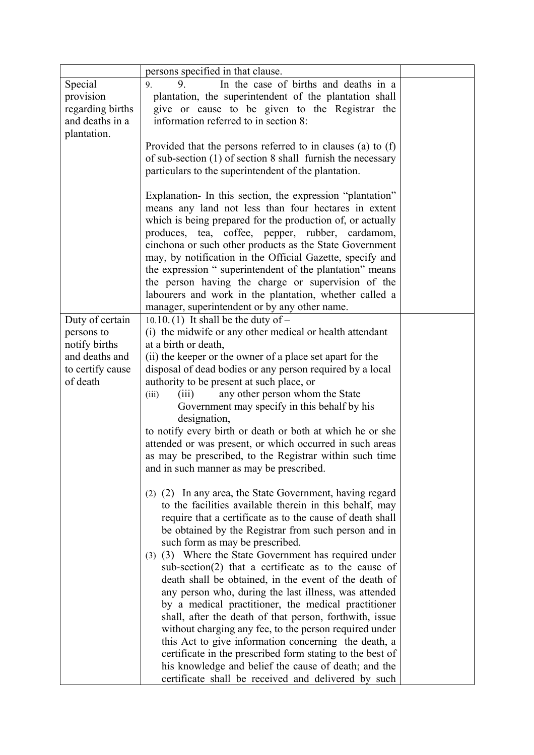|                             | persons specified in that clause.                                                                                                                                                    |  |  |  |  |  |
|-----------------------------|--------------------------------------------------------------------------------------------------------------------------------------------------------------------------------------|--|--|--|--|--|
| Special                     | In the case of births and deaths in a<br>9.<br>9.                                                                                                                                    |  |  |  |  |  |
| provision                   | plantation, the superintendent of the plantation shall                                                                                                                               |  |  |  |  |  |
| regarding births            | give or cause to be given to the Registrar the                                                                                                                                       |  |  |  |  |  |
| and deaths in a             | information referred to in section 8:                                                                                                                                                |  |  |  |  |  |
| plantation.                 |                                                                                                                                                                                      |  |  |  |  |  |
|                             | Provided that the persons referred to in clauses (a) to (f)<br>of sub-section $(1)$ of section 8 shall furnish the necessary<br>particulars to the superintendent of the plantation. |  |  |  |  |  |
|                             |                                                                                                                                                                                      |  |  |  |  |  |
|                             |                                                                                                                                                                                      |  |  |  |  |  |
|                             | Explanation- In this section, the expression "plantation"                                                                                                                            |  |  |  |  |  |
|                             | means any land not less than four hectares in extent                                                                                                                                 |  |  |  |  |  |
|                             | which is being prepared for the production of, or actually                                                                                                                           |  |  |  |  |  |
|                             | produces, tea, coffee, pepper, rubber, cardamom,                                                                                                                                     |  |  |  |  |  |
|                             | cinchona or such other products as the State Government                                                                                                                              |  |  |  |  |  |
|                             | may, by notification in the Official Gazette, specify and                                                                                                                            |  |  |  |  |  |
|                             | the expression "superintendent of the plantation" means                                                                                                                              |  |  |  |  |  |
|                             | the person having the charge or supervision of the                                                                                                                                   |  |  |  |  |  |
|                             | labourers and work in the plantation, whether called a                                                                                                                               |  |  |  |  |  |
|                             | manager, superintendent or by any other name.                                                                                                                                        |  |  |  |  |  |
| Duty of certain             | 10.10.(1) It shall be the duty of $-$<br>(i) the midwife or any other medical or health attendant                                                                                    |  |  |  |  |  |
| persons to<br>notify births | at a birth or death,                                                                                                                                                                 |  |  |  |  |  |
| and deaths and              | (ii) the keeper or the owner of a place set apart for the                                                                                                                            |  |  |  |  |  |
| to certify cause            | disposal of dead bodies or any person required by a local                                                                                                                            |  |  |  |  |  |
| of death                    | authority to be present at such place, or                                                                                                                                            |  |  |  |  |  |
|                             | any other person whom the State<br>(iii)<br>(iii)                                                                                                                                    |  |  |  |  |  |
|                             | Government may specify in this behalf by his                                                                                                                                         |  |  |  |  |  |
|                             | designation,                                                                                                                                                                         |  |  |  |  |  |
|                             | to notify every birth or death or both at which he or she                                                                                                                            |  |  |  |  |  |
|                             | attended or was present, or which occurred in such areas                                                                                                                             |  |  |  |  |  |
|                             | as may be prescribed, to the Registrar within such time                                                                                                                              |  |  |  |  |  |
|                             | and in such manner as may be prescribed.                                                                                                                                             |  |  |  |  |  |
|                             | (2) In any area, the State Government, having regard<br>(2)                                                                                                                          |  |  |  |  |  |
|                             | to the facilities available therein in this behalf, may                                                                                                                              |  |  |  |  |  |
|                             | require that a certificate as to the cause of death shall                                                                                                                            |  |  |  |  |  |
|                             | be obtained by the Registrar from such person and in                                                                                                                                 |  |  |  |  |  |
|                             | such form as may be prescribed.                                                                                                                                                      |  |  |  |  |  |
|                             | (3) (3) Where the State Government has required under                                                                                                                                |  |  |  |  |  |
|                             | $sub-section(2)$ that a certificate as to the cause of                                                                                                                               |  |  |  |  |  |
|                             | death shall be obtained, in the event of the death of                                                                                                                                |  |  |  |  |  |
|                             | any person who, during the last illness, was attended                                                                                                                                |  |  |  |  |  |
|                             | by a medical practitioner, the medical practitioner                                                                                                                                  |  |  |  |  |  |
|                             | shall, after the death of that person, forthwith, issue<br>without charging any fee, to the person required under                                                                    |  |  |  |  |  |
|                             | this Act to give information concerning the death, a                                                                                                                                 |  |  |  |  |  |
|                             | certificate in the prescribed form stating to the best of                                                                                                                            |  |  |  |  |  |
|                             | his knowledge and belief the cause of death; and the                                                                                                                                 |  |  |  |  |  |
|                             | certificate shall be received and delivered by such                                                                                                                                  |  |  |  |  |  |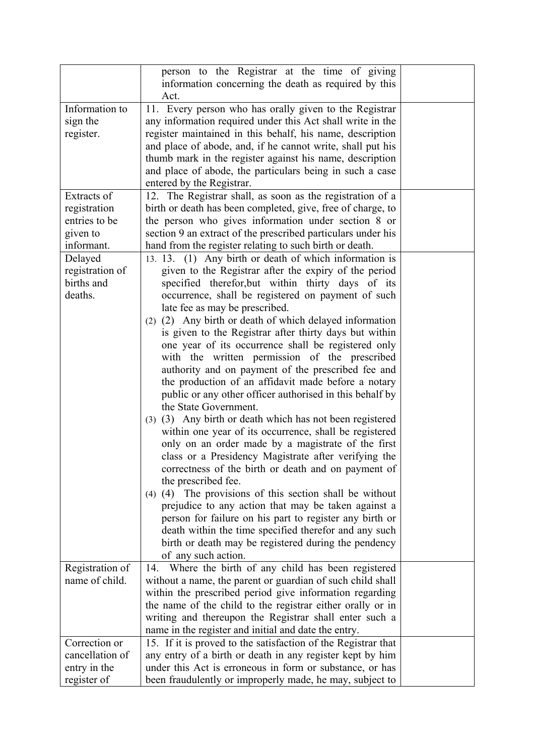|                 | person to the Registrar at the time of giving<br>information concerning the death as required by this<br>Act. |  |
|-----------------|---------------------------------------------------------------------------------------------------------------|--|
| Information to  |                                                                                                               |  |
|                 | 11. Every person who has orally given to the Registrar                                                        |  |
| sign the        | any information required under this Act shall write in the                                                    |  |
| register.       | register maintained in this behalf, his name, description                                                     |  |
|                 | and place of abode, and, if he cannot write, shall put his                                                    |  |
|                 | thumb mark in the register against his name, description                                                      |  |
|                 | and place of abode, the particulars being in such a case                                                      |  |
|                 | entered by the Registrar.                                                                                     |  |
| Extracts of     | 12. The Registrar shall, as soon as the registration of a                                                     |  |
| registration    | birth or death has been completed, give, free of charge, to                                                   |  |
| entries to be   | the person who gives information under section 8 or                                                           |  |
| given to        | section 9 an extract of the prescribed particulars under his                                                  |  |
| informant.      | hand from the register relating to such birth or death.                                                       |  |
| Delayed         | 13. 13. (1) Any birth or death of which information is                                                        |  |
| registration of | given to the Registrar after the expiry of the period                                                         |  |
| births and      | specified therefor, but within thirty days of its                                                             |  |
| deaths.         | occurrence, shall be registered on payment of such                                                            |  |
|                 | late fee as may be prescribed.                                                                                |  |
|                 | (2) (2) Any birth or death of which delayed information                                                       |  |
|                 | is given to the Registrar after thirty days but within                                                        |  |
|                 | one year of its occurrence shall be registered only                                                           |  |
|                 | with the written permission of the prescribed                                                                 |  |
|                 | authority and on payment of the prescribed fee and                                                            |  |
|                 | the production of an affidavit made before a notary                                                           |  |
|                 | public or any other officer authorised in this behalf by                                                      |  |
|                 | the State Government.                                                                                         |  |
|                 | (3) (3) Any birth or death which has not been registered                                                      |  |
|                 | within one year of its occurrence, shall be registered                                                        |  |
|                 | only on an order made by a magistrate of the first                                                            |  |
|                 | class or a Presidency Magistrate after verifying the                                                          |  |
|                 | correctness of the birth or death and on payment of                                                           |  |
|                 | the prescribed fee.                                                                                           |  |
|                 | $(4)$ (4) The provisions of this section shall be without                                                     |  |
|                 | prejudice to any action that may be taken against a                                                           |  |
|                 | person for failure on his part to register any birth or                                                       |  |
|                 | death within the time specified therefor and any such                                                         |  |
|                 | birth or death may be registered during the pendency                                                          |  |
|                 | of any such action.                                                                                           |  |
| Registration of | Where the birth of any child has been registered<br>14.                                                       |  |
| name of child.  | without a name, the parent or guardian of such child shall                                                    |  |
|                 | within the prescribed period give information regarding                                                       |  |
|                 | the name of the child to the registrar either orally or in                                                    |  |
|                 | writing and thereupon the Registrar shall enter such a                                                        |  |
|                 | name in the register and initial and date the entry.                                                          |  |
| Correction or   | 15. If it is proved to the satisfaction of the Registrar that                                                 |  |
| cancellation of | any entry of a birth or death in any register kept by him                                                     |  |
| entry in the    | under this Act is erroneous in form or substance, or has                                                      |  |
| register of     | been fraudulently or improperly made, he may, subject to                                                      |  |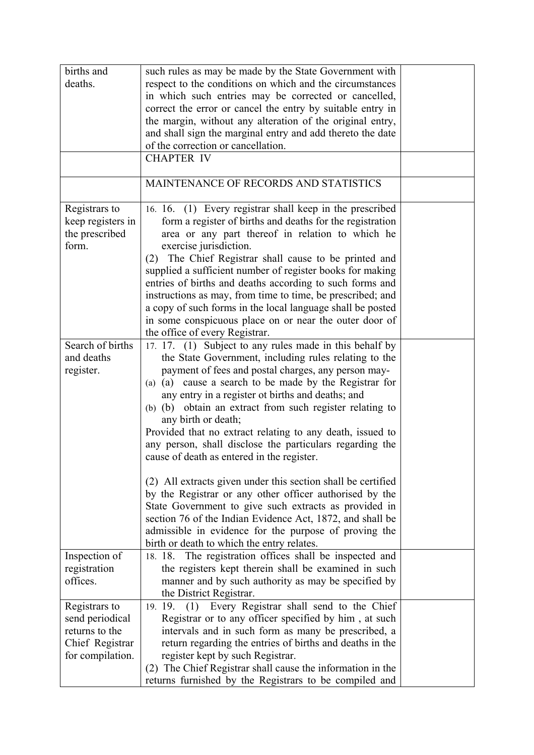| births and        | such rules as may be made by the State Government with       |  |
|-------------------|--------------------------------------------------------------|--|
| deaths.           | respect to the conditions on which and the circumstances     |  |
|                   | in which such entries may be corrected or cancelled,         |  |
|                   | correct the error or cancel the entry by suitable entry in   |  |
|                   | the margin, without any alteration of the original entry,    |  |
|                   | and shall sign the marginal entry and add thereto the date   |  |
|                   | of the correction or cancellation.                           |  |
|                   | <b>CHAPTER IV</b>                                            |  |
|                   |                                                              |  |
|                   | MAINTENANCE OF RECORDS AND STATISTICS                        |  |
| Registrars to     | 16. 16. (1) Every registrar shall keep in the prescribed     |  |
| keep registers in | form a register of births and deaths for the registration    |  |
| the prescribed    | area or any part thereof in relation to which he             |  |
| form.             | exercise jurisdiction.                                       |  |
|                   | The Chief Registrar shall cause to be printed and<br>(2)     |  |
|                   | supplied a sufficient number of register books for making    |  |
|                   | entries of births and deaths according to such forms and     |  |
|                   | instructions as may, from time to time, be prescribed; and   |  |
|                   | a copy of such forms in the local language shall be posted   |  |
|                   | in some conspicuous place on or near the outer door of       |  |
|                   | the office of every Registrar.                               |  |
| Search of births  | 17. 17. (1) Subject to any rules made in this behalf by      |  |
| and deaths        | the State Government, including rules relating to the        |  |
| register.         | payment of fees and postal charges, any person may-          |  |
|                   | (a) cause a search to be made by the Registrar for<br>(a)    |  |
|                   | any entry in a register ot births and deaths; and            |  |
|                   | (b) (b) obtain an extract from such register relating to     |  |
|                   | any birth or death;                                          |  |
|                   | Provided that no extract relating to any death, issued to    |  |
|                   | any person, shall disclose the particulars regarding the     |  |
|                   | cause of death as entered in the register.                   |  |
|                   | (2) All extracts given under this section shall be certified |  |
|                   | by the Registrar or any other officer authorised by the      |  |
|                   | State Government to give such extracts as provided in        |  |
|                   | section 76 of the Indian Evidence Act, 1872, and shall be    |  |
|                   | admissible in evidence for the purpose of proving the        |  |
|                   | birth or death to which the entry relates.                   |  |
| Inspection of     | The registration offices shall be inspected and<br>18. 18.   |  |
| registration      | the registers kept therein shall be examined in such         |  |
| offices.          | manner and by such authority as may be specified by          |  |
|                   | the District Registrar.                                      |  |
| Registrars to     | Every Registrar shall send to the Chief<br>19. 19.<br>(1)    |  |
| send periodical   | Registrar or to any officer specified by him, at such        |  |
| returns to the    | intervals and in such form as many be prescribed, a          |  |
| Chief Registrar   | return regarding the entries of births and deaths in the     |  |
| for compilation.  | register kept by such Registrar.                             |  |
|                   | (2) The Chief Registrar shall cause the information in the   |  |
|                   | returns furnished by the Registrars to be compiled and       |  |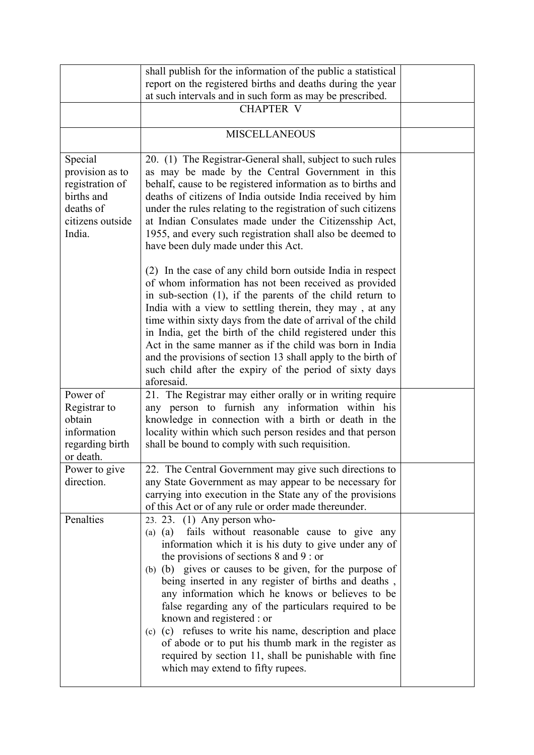|                                                                                                        | shall publish for the information of the public a statistical                                                                                                                                                                                                                                                                                                                                                                                                                                                                                                                                                                                                                     |  |
|--------------------------------------------------------------------------------------------------------|-----------------------------------------------------------------------------------------------------------------------------------------------------------------------------------------------------------------------------------------------------------------------------------------------------------------------------------------------------------------------------------------------------------------------------------------------------------------------------------------------------------------------------------------------------------------------------------------------------------------------------------------------------------------------------------|--|
|                                                                                                        | report on the registered births and deaths during the year                                                                                                                                                                                                                                                                                                                                                                                                                                                                                                                                                                                                                        |  |
|                                                                                                        | at such intervals and in such form as may be prescribed.                                                                                                                                                                                                                                                                                                                                                                                                                                                                                                                                                                                                                          |  |
|                                                                                                        | <b>CHAPTER V</b>                                                                                                                                                                                                                                                                                                                                                                                                                                                                                                                                                                                                                                                                  |  |
|                                                                                                        | <b>MISCELLANEOUS</b>                                                                                                                                                                                                                                                                                                                                                                                                                                                                                                                                                                                                                                                              |  |
| Special<br>provision as to<br>registration of<br>births and<br>deaths of<br>citizens outside<br>India. | 20. (1) The Registrar-General shall, subject to such rules<br>as may be made by the Central Government in this<br>behalf, cause to be registered information as to births and<br>deaths of citizens of India outside India received by him<br>under the rules relating to the registration of such citizens<br>at Indian Consulates made under the Citizensship Act,<br>1955, and every such registration shall also be deemed to<br>have been duly made under this Act.                                                                                                                                                                                                          |  |
|                                                                                                        | (2) In the case of any child born outside India in respect<br>of whom information has not been received as provided<br>in sub-section (1), if the parents of the child return to<br>India with a view to settling therein, they may, at any<br>time within sixty days from the date of arrival of the child<br>in India, get the birth of the child registered under this<br>Act in the same manner as if the child was born in India<br>and the provisions of section 13 shall apply to the birth of<br>such child after the expiry of the period of sixty days<br>aforesaid.                                                                                                    |  |
| Power of                                                                                               | 21. The Registrar may either orally or in writing require                                                                                                                                                                                                                                                                                                                                                                                                                                                                                                                                                                                                                         |  |
| Registrar to                                                                                           | any person to furnish any information within his                                                                                                                                                                                                                                                                                                                                                                                                                                                                                                                                                                                                                                  |  |
| obtain                                                                                                 | knowledge in connection with a birth or death in the                                                                                                                                                                                                                                                                                                                                                                                                                                                                                                                                                                                                                              |  |
| information<br>regarding birth<br>or death.                                                            | locality within which such person resides and that person<br>shall be bound to comply with such requisition.                                                                                                                                                                                                                                                                                                                                                                                                                                                                                                                                                                      |  |
| Power to give                                                                                          | 22. The Central Government may give such directions to                                                                                                                                                                                                                                                                                                                                                                                                                                                                                                                                                                                                                            |  |
| direction.                                                                                             | any State Government as may appear to be necessary for<br>carrying into execution in the State any of the provisions<br>of this Act or of any rule or order made thereunder.                                                                                                                                                                                                                                                                                                                                                                                                                                                                                                      |  |
| Penalties                                                                                              | 23. 23. $(1)$ Any person who-<br>fails without reasonable cause to give any<br>$(a)$ $(a)$<br>information which it is his duty to give under any of<br>the provisions of sections $8$ and $9$ : or<br>(b) (b) gives or causes to be given, for the purpose of<br>being inserted in any register of births and deaths,<br>any information which he knows or believes to be<br>false regarding any of the particulars required to be<br>known and registered : or<br>(c) (c) refuses to write his name, description and place<br>of abode or to put his thumb mark in the register as<br>required by section 11, shall be punishable with fine<br>which may extend to fifty rupees. |  |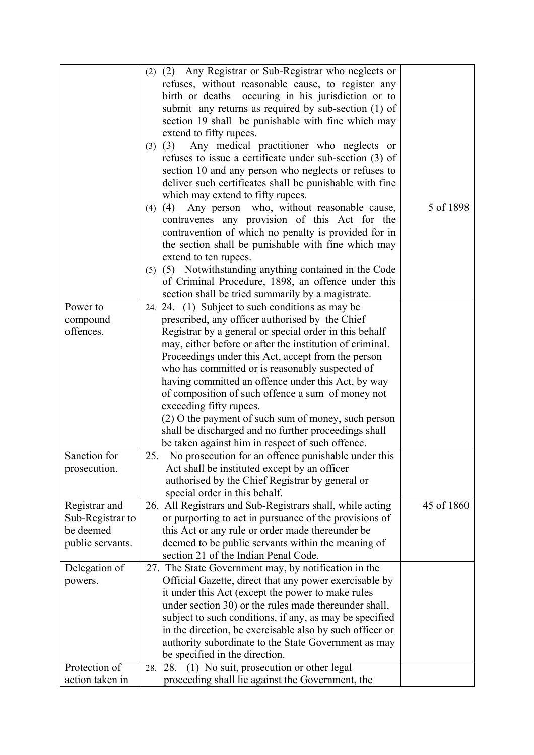|                  | (2) (2) Any Registrar or Sub-Registrar who neglects or         |            |
|------------------|----------------------------------------------------------------|------------|
|                  | refuses, without reasonable cause, to register any             |            |
|                  | birth or deaths occuring in his jurisdiction or to             |            |
|                  | submit any returns as required by sub-section (1) of           |            |
|                  | section 19 shall be punishable with fine which may             |            |
|                  | extend to fifty rupees.                                        |            |
|                  | Any medical practitioner who neglects or<br>(3)                |            |
|                  | (3)<br>refuses to issue a certificate under sub-section (3) of |            |
|                  |                                                                |            |
|                  | section 10 and any person who neglects or refuses to           |            |
|                  | deliver such certificates shall be punishable with fine        |            |
|                  | which may extend to fifty rupees.                              |            |
|                  | Any person who, without reasonable cause,<br>(4)<br>(4)        | 5 of 1898  |
|                  | contravenes any provision of this Act for the                  |            |
|                  | contravention of which no penalty is provided for in           |            |
|                  | the section shall be punishable with fine which may            |            |
|                  | extend to ten rupees.                                          |            |
|                  | (5) (5) Notwithstanding anything contained in the Code         |            |
|                  | of Criminal Procedure, 1898, an offence under this             |            |
|                  | section shall be tried summarily by a magistrate.              |            |
| Power to         | 24. 24. (1) Subject to such conditions as may be               |            |
| compound         | prescribed, any officer authorised by the Chief                |            |
| offences.        | Registrar by a general or special order in this behalf         |            |
|                  | may, either before or after the institution of criminal.       |            |
|                  | Proceedings under this Act, accept from the person             |            |
|                  | who has committed or is reasonably suspected of                |            |
|                  | having committed an offence under this Act, by way             |            |
|                  | of composition of such offence a sum of money not              |            |
|                  | exceeding fifty rupees.                                        |            |
|                  | (2) O the payment of such sum of money, such person            |            |
|                  | shall be discharged and no further proceedings shall           |            |
|                  | be taken against him in respect of such offence.               |            |
| Sanction for     | 25. No prosecution for an offence punishable under this        |            |
| prosecution.     | Act shall be instituted except by an officer                   |            |
|                  | authorised by the Chief Registrar by general or                |            |
|                  | special order in this behalf.                                  |            |
| Registrar and    | 26. All Registrars and Sub-Registrars shall, while acting      | 45 of 1860 |
| Sub-Registrar to | or purporting to act in pursuance of the provisions of         |            |
| be deemed        | this Act or any rule or order made thereunder be               |            |
| public servants. | deemed to be public servants within the meaning of             |            |
|                  | section 21 of the Indian Penal Code.                           |            |
|                  |                                                                |            |
| Delegation of    | 27. The State Government may, by notification in the           |            |
| powers.          | Official Gazette, direct that any power exercisable by         |            |
|                  | it under this Act (except the power to make rules              |            |
|                  | under section 30) or the rules made thereunder shall,          |            |
|                  | subject to such conditions, if any, as may be specified        |            |
|                  | in the direction, be exercisable also by such officer or       |            |
|                  | authority subordinate to the State Government as may           |            |
|                  | be specified in the direction.                                 |            |
| Protection of    | 28. (1) No suit, prosecution or other legal<br>28.             |            |
| action taken in  | proceeding shall lie against the Government, the               |            |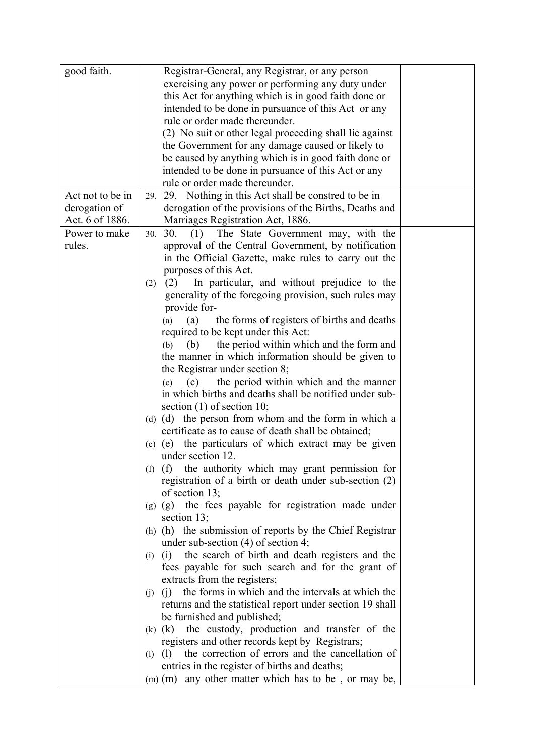| good faith.      | Registrar-General, any Registrar, or any person                 |  |
|------------------|-----------------------------------------------------------------|--|
|                  | exercising any power or performing any duty under               |  |
|                  | this Act for anything which is in good faith done or            |  |
|                  | intended to be done in pursuance of this Act or any             |  |
|                  | rule or order made thereunder.                                  |  |
|                  | (2) No suit or other legal proceeding shall lie against         |  |
|                  | the Government for any damage caused or likely to               |  |
|                  | be caused by anything which is in good faith done or            |  |
|                  | intended to be done in pursuance of this Act or any             |  |
|                  | rule or order made thereunder.                                  |  |
| Act not to be in | 29. 29. Nothing in this Act shall be constred to be in          |  |
| derogation of    | derogation of the provisions of the Births, Deaths and          |  |
| Act. 6 of 1886.  | Marriages Registration Act, 1886.                               |  |
| Power to make    | 30. 30. (1) The State Government may, with the                  |  |
| rules.           | approval of the Central Government, by notification             |  |
|                  | in the Official Gazette, make rules to carry out the            |  |
|                  | purposes of this Act.                                           |  |
|                  | In particular, and without prejudice to the<br>(2)<br>(2)       |  |
|                  | generality of the foregoing provision, such rules may           |  |
|                  | provide for-                                                    |  |
|                  | the forms of registers of births and deaths<br>(a)<br>(a)       |  |
|                  | required to be kept under this Act:                             |  |
|                  | the period within which and the form and<br>(b)<br>(b)          |  |
|                  | the manner in which information should be given to              |  |
|                  | the Registrar under section 8;                                  |  |
|                  | the period within which and the manner<br>(c)<br>(c)            |  |
|                  | in which births and deaths shall be notified under sub-         |  |
|                  | section $(1)$ of section 10;                                    |  |
|                  | (d) (d) the person from whom and the form in which a            |  |
|                  | certificate as to cause of death shall be obtained;             |  |
|                  | (e) the particulars of which extract may be given<br>(e)        |  |
|                  | under section 12.                                               |  |
|                  | the authority which may grant permission for<br>$(f)$ $(f)$     |  |
|                  | registration of a birth or death under sub-section (2)          |  |
|                  | of section 13;                                                  |  |
|                  | the fees payable for registration made under<br>(g)<br>(g)      |  |
|                  | section $13$ ;                                                  |  |
|                  | (h) (h) the submission of reports by the Chief Registrar        |  |
|                  | under sub-section $(4)$ of section 4;                           |  |
|                  | the search of birth and death registers and the<br>(i)<br>(i)   |  |
|                  | fees payable for such search and for the grant of               |  |
|                  | extracts from the registers;                                    |  |
|                  | the forms in which and the intervals at which the<br>(i)<br>(i) |  |
|                  | returns and the statistical report under section 19 shall       |  |
|                  | be furnished and published;                                     |  |
|                  | the custody, production and transfer of the<br>$(k)$ $(k)$      |  |
|                  | registers and other records kept by Registrars;                 |  |
|                  | the correction of errors and the cancellation of<br>(1)<br>(1)  |  |
|                  | entries in the register of births and deaths;                   |  |
|                  | $(m)$ (m) any other matter which has to be, or may be,          |  |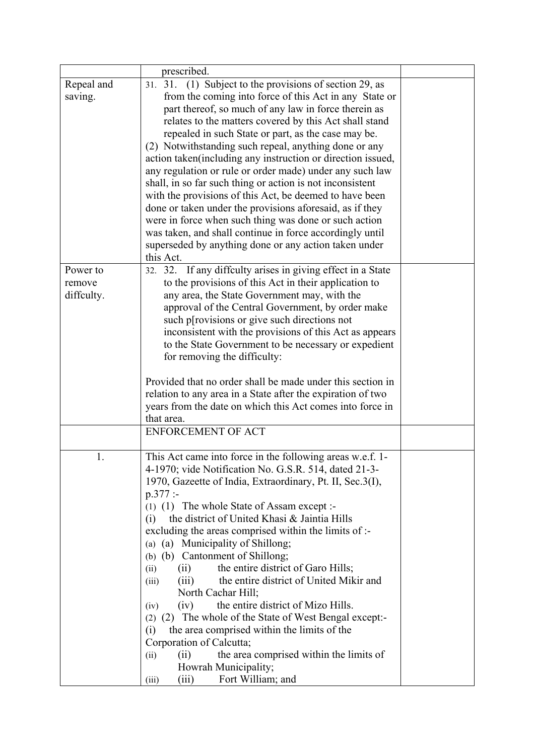|            | prescribed.                                                 |  |
|------------|-------------------------------------------------------------|--|
| Repeal and | 31. 31. (1) Subject to the provisions of section 29, as     |  |
| saving.    | from the coming into force of this Act in any State or      |  |
|            | part thereof, so much of any law in force therein as        |  |
|            | relates to the matters covered by this Act shall stand      |  |
|            | repealed in such State or part, as the case may be.         |  |
|            | (2) Notwithstanding such repeal, anything done or any       |  |
|            |                                                             |  |
|            | action taken(including any instruction or direction issued, |  |
|            | any regulation or rule or order made) under any such law    |  |
|            | shall, in so far such thing or action is not inconsistent   |  |
|            | with the provisions of this Act, be deemed to have been     |  |
|            | done or taken under the provisions aforesaid, as if they    |  |
|            | were in force when such thing was done or such action       |  |
|            | was taken, and shall continue in force accordingly until    |  |
|            | superseded by anything done or any action taken under       |  |
|            | this Act.                                                   |  |
| Power to   | 32. 32. If any diffculty arises in giving effect in a State |  |
| remove     | to the provisions of this Act in their application to       |  |
| diffculty. | any area, the State Government may, with the                |  |
|            | approval of the Central Government, by order make           |  |
|            | such p[rovisions or give such directions not                |  |
|            | inconsistent with the provisions of this Act as appears     |  |
|            | to the State Government to be necessary or expedient        |  |
|            | for removing the difficulty:                                |  |
|            |                                                             |  |
|            | Provided that no order shall be made under this section in  |  |
|            | relation to any area in a State after the expiration of two |  |
|            | years from the date on which this Act comes into force in   |  |
|            | that area.<br><b>ENFORCEMENT OF ACT</b>                     |  |
|            |                                                             |  |
| 1.         | This Act came into force in the following areas w.e.f. 1-   |  |
|            | 4-1970; vide Notification No. G.S.R. 514, dated 21-3-       |  |
|            | 1970, Gazeette of India, Extraordinary, Pt. II, Sec.3(I),   |  |
|            | $p.377$ :                                                   |  |
|            | (1) (1) The whole State of Assam except :-                  |  |
|            | the district of United Khasi & Jaintia Hills<br>(i)         |  |
|            | excluding the areas comprised within the limits of :-       |  |
|            | (a) (a) Municipality of Shillong;                           |  |
|            | (b) (b) Cantonment of Shillong;                             |  |
|            | the entire district of Garo Hills;<br>(ii)<br>(ii)          |  |
|            | the entire district of United Mikir and<br>(iii)<br>(iii)   |  |
|            | North Cachar Hill;                                          |  |
|            | the entire district of Mizo Hills.<br>(iv)<br>(iv)          |  |
|            | (2) The whole of the State of West Bengal except:-<br>(2)   |  |
|            | the area comprised within the limits of the<br>(i)          |  |
|            | Corporation of Calcutta;                                    |  |
|            | the area comprised within the limits of<br>(ii)<br>(ii)     |  |
|            | Howrah Municipality;                                        |  |
|            | (iii)<br>Fort William; and<br>(iii)                         |  |